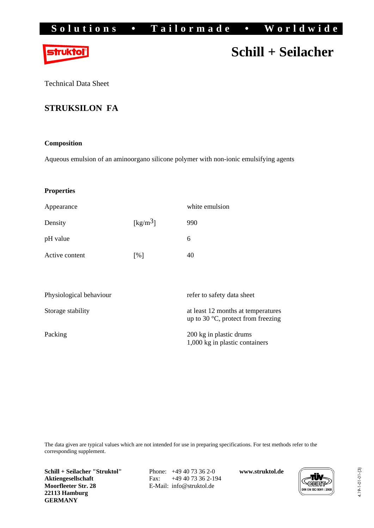## **Solutions • Tailormade • Worldwide**



# **Schill + Seilacher**

Technical Data Sheet

### **STRUKSILON FA**

#### **Composition**

Aqueous emulsion of an aminoorgano silicone polymer with non-ionic emulsifying agents

#### **Properties**

| Appearance     |                     | white emulsion |
|----------------|---------------------|----------------|
| Density        | [ $\text{kg/m}^3$ ] | 990            |
| pH value       |                     | 6              |
| Active content | $\lceil\% \rceil$   | 40             |

| Physiological behaviour | refer to safety data sheet                                                        |
|-------------------------|-----------------------------------------------------------------------------------|
| Storage stability       | at least 12 months at temperatures<br>up to 30 $\degree$ C, protect from freezing |
| Packing                 | 200 kg in plastic drums<br>1,000 kg in plastic containers                         |

The data given are typical values which are not intended for use in preparing specifications. For test methods refer to the corresponding supplement.

**Schill + Seilacher "Struktol" Aktiengesellschaft Moorfleeter Str. 28 22113 Hamburg GERMANY** 

 Phone: +49 40 73 36 2-0 Fax: +49 40 73 36 2-194 E-Mail: info@struktol.de

**www.struktol.de**